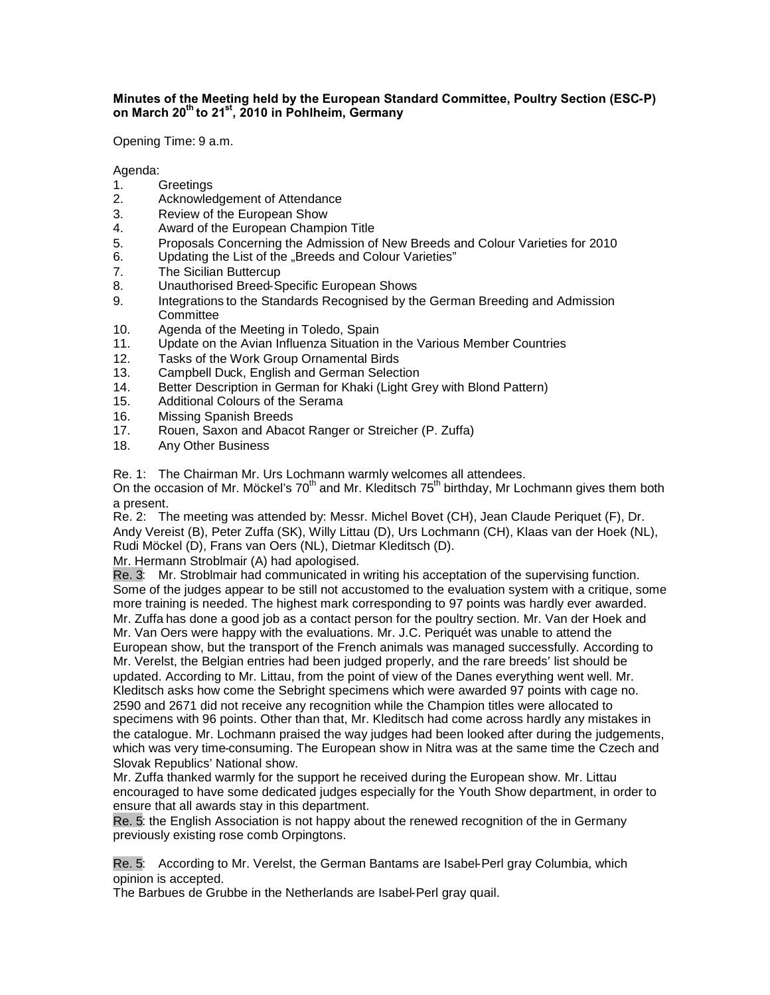## **Minutes of the Meeting held by the European Standard Committee, Poultry Section (ESC-P) on March 20th to 21st, 2010 in Pohlheim, Germany**

Opening Time: 9 a.m.

Agenda:

- 1. Greetings
- 2. Acknowledgement of Attendance
- 3. Review of the European Show
- 4. Award of the European Champion Title
- 5. Proposals Concerning the Admission of New Breeds and Colour Varieties for 2010<br>6. Updating the List of the "Breeds and Colour Varieties"
- Updating the List of the "Breeds and Colour Varieties"
- 7. The Sicilian Buttercup
- 8. Unauthorised Breed-Specific European Shows
- 9. Integrations to the Standards Recognised by the German Breeding and Admission Committee
- 10. Agenda of the Meeting in Toledo, Spain
- 11. Update on the Avian Influenza Situation in the Various Member Countries
- 12. Tasks of the Work Group Ornamental Birds
- 13. Campbell Duck, English and German Selection
- 14. Better Description in German for Khaki (Light Grey with Blond Pattern)
- 15. Additional Colours of the Serama
- 16. Missing Spanish Breeds<br>17. Rouen, Saxon and Abac
- Rouen, Saxon and Abacot Ranger or Streicher (P. Zuffa)
- 18. Any Other Business

Re. 1: The Chairman Mr. Urs Lochmann warmly welcomes all attendees.

On the occasion of Mr. Möckel's 70<sup>th</sup> and Mr. Kleditsch 75<sup>th</sup> birthday, Mr Lochmann gives them both a present.

Re. 2: The meeting was attended by: Messr. Michel Bovet (CH), Jean Claude Periquet (F), Dr. Andy Vereist (B), Peter Zuffa (SK), Willy Littau (D), Urs Lochmann (CH), Klaas van der Hoek (NL), Rudi Möckel (D), Frans van Oers (NL), Dietmar Kleditsch (D).

Mr. Hermann Stroblmair (A) had apologised.

Re. 3: Mr. Stroblmair had communicated in writing his acceptation of the supervising function. Some of the judges appear to be still not accustomed to the evaluation system with a critique, some more training is needed. The highest mark corresponding to 97 points was hardly ever awarded. Mr. Zuffa has done a good job as a contact person for the poultry section. Mr. Van der Hoek and Mr. Van Oers were happy with the evaluations. Mr. J.C. Periquét was unable to attend the European show, but the transport of the French animals was managed successfully. According to Mr. Verelst, the Belgian entries had been judged properly, and the rare breeds' list should be updated. According to Mr. Littau, from the point of view of the Danes everything went well. Mr. Kleditsch asks how come the Sebright specimens which were awarded 97 points with cage no. 2590 and 2671 did not receive any recognition while the Champion titles were allocated to specimens with 96 points. Other than that, Mr. Kleditsch had come across hardly any mistakes in the catalogue. Mr. Lochmann praised the way judges had been looked after during the judgements, which was very time-consuming. The European show in Nitra was at the same time the Czech and Slovak Republics' National show.

Mr. Zuffa thanked warmly for the support he received during the European show. Mr. Littau encouraged to have some dedicated judges especially for the Youth Show department, in order to ensure that all awards stay in this department.

Re. 5: the English Association is not happy about the renewed recognition of the in Germany previously existing rose comb Orpingtons.

Re. 5: According to Mr. Verelst, the German Bantams are Isabel-Perl gray Columbia, which opinion is accepted.

The Barbues de Grubbe in the Netherlands are Isabel-Perl gray quail.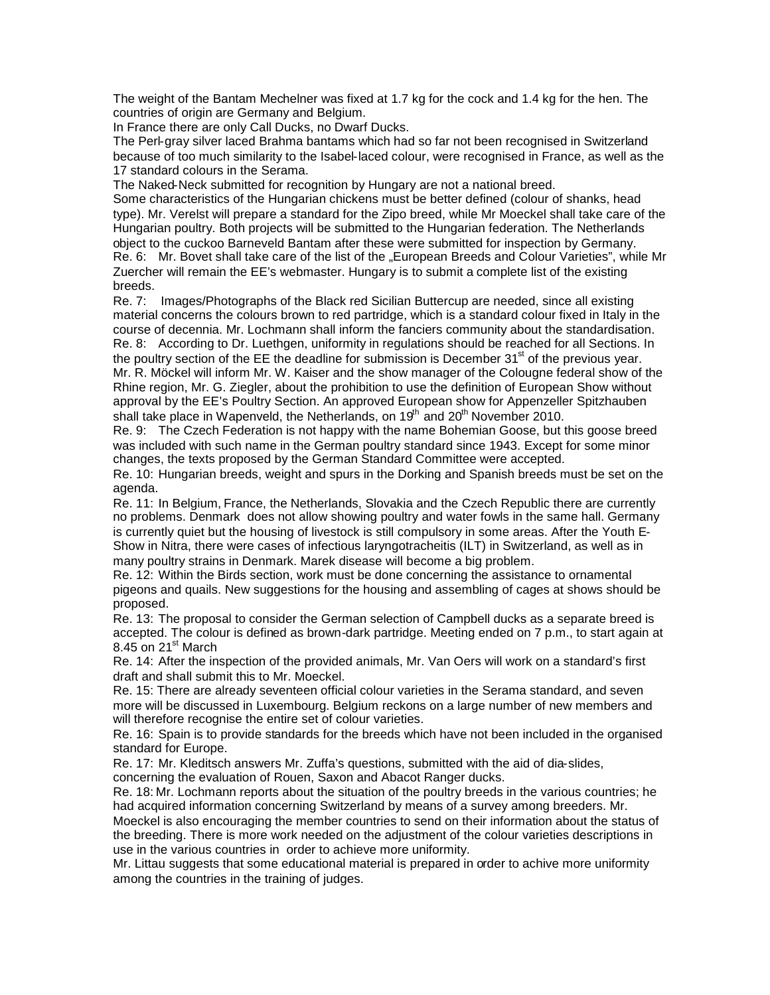The weight of the Bantam Mechelner was fixed at 1.7 kg for the cock and 1.4 kg for the hen. The countries of origin are Germany and Belgium.

In France there are only Call Ducks, no Dwarf Ducks.

The Perl-gray silver laced Brahma bantams which had so far not been recognised in Switzerland because of too much similarity to the Isabel-laced colour, were recognised in France, as well as the 17 standard colours in the Serama.

The Naked-Neck submitted for recognition by Hungary are not a national breed. Some characteristics of the Hungarian chickens must be better defined (colour of shanks, head type). Mr. Verelst will prepare a standard for the Zipo breed, while Mr Moeckel shall take care of the Hungarian poultry. Both projects will be submitted to the Hungarian federation. The Netherlands object to the cuckoo Barneveld Bantam after these were submitted for inspection by Germany. Re. 6: Mr. Bovet shall take care of the list of the "European Breeds and Colour Varieties", while Mr Zuercher will remain the EE's webmaster. Hungary is to submit a complete list of the existing breeds.

Re. 7: Images/Photographs of the Black red Sicilian Buttercup are needed, since all existing material concerns the colours brown to red partridge, which is a standard colour fixed in Italy in the course of decennia. Mr. Lochmann shall inform the fanciers community about the standardisation. Re. 8: According to Dr. Luethgen, uniformity in regulations should be reached for all Sections. In the poultry section of the EE the deadline for submission is December  $31<sup>st</sup>$  of the previous year. Mr. R. Möckel will inform Mr. W. Kaiser and the show manager of the Colougne federal show of the Rhine region, Mr. G. Ziegler, about the prohibition to use the definition of European Show without approval by the EE's Poultry Section. An approved European show for Appenzeller Spitzhauben shall take place in Wapenveld, the Netherlands, on  $19<sup>th</sup>$  and  $20<sup>th</sup>$  November 2010.

Re. 9: The Czech Federation is not happy with the name Bohemian Goose, but this goose breed was included with such name in the German poultry standard since 1943. Except for some minor changes, the texts proposed by the German Standard Committee were accepted.

Re. 10: Hungarian breeds, weight and spurs in the Dorking and Spanish breeds must be set on the agenda.

Re. 11: In Belgium, France, the Netherlands, Slovakia and the Czech Republic there are currently no problems. Denmark does not allow showing poultry and water fowls in the same hall. Germany is currently quiet but the housing of livestock is still compulsory in some areas. After the Youth E-Show in Nitra, there were cases of infectious laryngotracheitis (ILT) in Switzerland, as well as in many poultry strains in Denmark. Marek disease will become a big problem.

Re. 12: Within the Birds section, work must be done concerning the assistance to ornamental pigeons and quails. New suggestions for the housing and assembling of cages at shows should be proposed.

Re. 13: The proposal to consider the German selection of Campbell ducks as a separate breed is accepted. The colour is defined as brown-dark partridge. Meeting ended on 7 p.m., to start again at 8.45 on  $21<sup>st</sup>$  March

Re. 14: After the inspection of the provided animals, Mr. Van Oers will work on a standard's first draft and shall submit this to Mr. Moeckel.

Re. 15: There are already seventeen official colour varieties in the Serama standard, and seven more will be discussed in Luxembourg. Belgium reckons on a large number of new members and will therefore recognise the entire set of colour varieties.

Re. 16: Spain is to provide standards for the breeds which have not been included in the organised standard for Europe.

Re. 17: Mr. Kleditsch answers Mr. Zuffa's questions, submitted with the aid of dia-slides, concerning the evaluation of Rouen, Saxon and Abacot Ranger ducks.

Re. 18: Mr. Lochmann reports about the situation of the poultry breeds in the various countries; he had acquired information concerning Switzerland by means of a survey among breeders. Mr.

Moeckel is also encouraging the member countries to send on their information about the status of the breeding. There is more work needed on the adjustment of the colour varieties descriptions in use in the various countries in order to achieve more uniformity.

Mr. Littau suggests that some educational material is prepared in order to achive more uniformity among the countries in the training of judges.